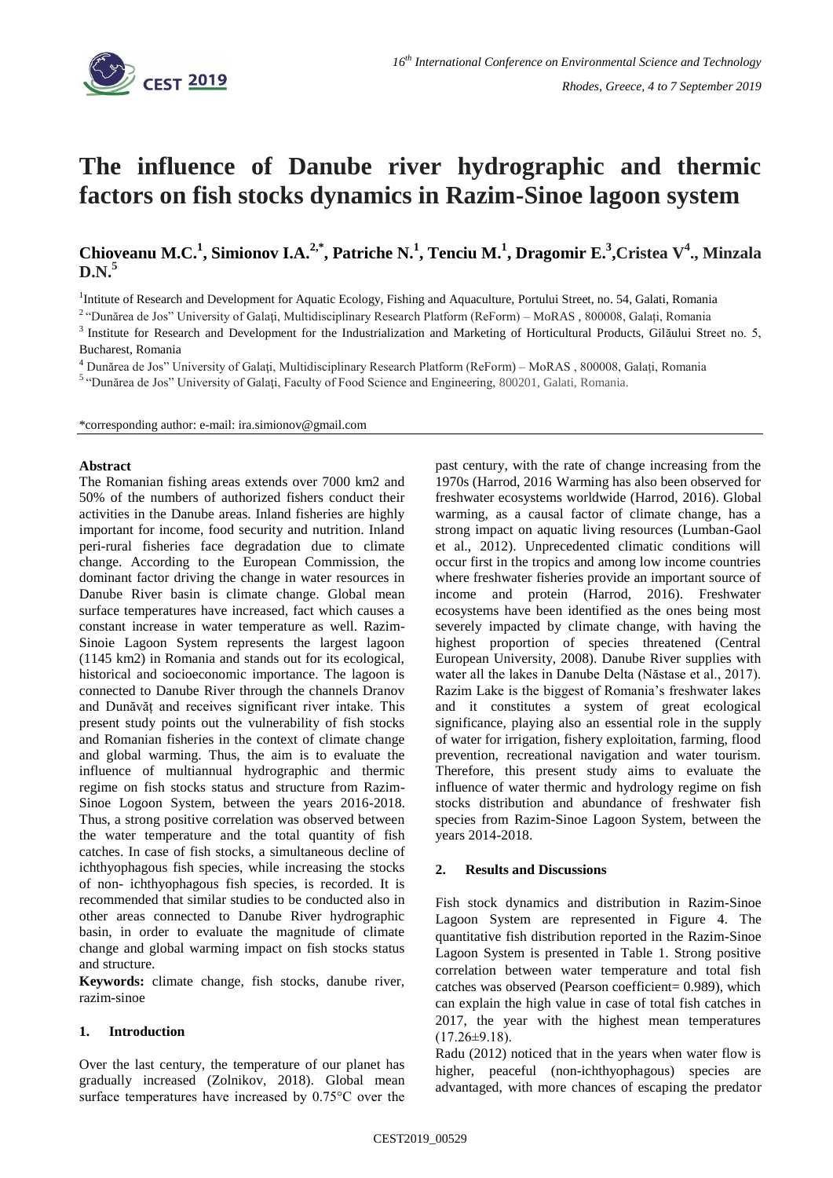

# **The influence of Danube river hydrographic and thermic factors on fish stocks dynamics in Razim-Sinoe lagoon system**

**Chioveanu M.C.<sup>1</sup> , Simionov I.A.2,\* , Patriche N.<sup>1</sup> , Tenciu M.<sup>1</sup> , Dragomir E.<sup>3</sup> ,Cristea V<sup>4</sup> ., Minzala D.N.<sup>5</sup>**

<sup>1</sup>Intitute of Research and Development for Aquatic Ecology, Fishing and Aquaculture, Portului Street, no. 54, Galati, Romania

<sup>2</sup> "Dunărea de Jos" University of Galați, Multidisciplinary Research Platform (ReForm) – MoRAS, 800008, Galați, Romania

<sup>3</sup> Institute for Research and Development for the Industrialization and Marketing of Horticultural Products, Gilăului Street no. 5, Bucharest, Romania

<sup>4</sup> Dunărea de Jos" University of Galaţi, Multidisciplinary Research Platform (ReForm) – MoRAS , 800008, Galați, Romania

<sup>5</sup> "Dunărea de Jos" University of Galați, Faculty of Food Science and Engineering, 800201, Galati, Romania.

\*corresponding author: e-mail: ira.simionov@gmail.com

#### **Abstract**

The Romanian fishing areas extends over 7000 km2 and 50% of the numbers of authorized fishers conduct their activities in the Danube areas. Inland fisheries are highly important for income, food security and nutrition. Inland peri-rural fisheries face degradation due to climate change. According to the European Commission, the dominant factor driving the change in water resources in Danube River basin is climate change. Global mean surface temperatures have increased, fact which causes a constant increase in water temperature as well. Razim-Sinoie Lagoon System represents the largest lagoon (1145 km2) in Romania and stands out for its ecological, historical and socioeconomic importance. The lagoon is connected to Danube River through the channels Dranov and Dunăvăț and receives significant river intake. This present study points out the vulnerability of fish stocks and Romanian fisheries in the context of climate change and global warming. Thus, the aim is to evaluate the influence of multiannual hydrographic and thermic regime on fish stocks status and structure from Razim-Sinoe Logoon System, between the years 2016-2018. Thus, a strong positive correlation was observed between the water temperature and the total quantity of fish catches. In case of fish stocks, a simultaneous decline of ichthyophagous fish species, while increasing the stocks of non- ichthyophagous fish species, is recorded. It is recommended that similar studies to be conducted also in other areas connected to Danube River hydrographic basin, in order to evaluate the magnitude of climate change and global warming impact on fish stocks status and structure.

**Keywords:** climate change, fish stocks, danube river, razim-sinoe

#### **1. Introduction**

Over the last century, the temperature of our planet has gradually increased (Zolnikov, 2018). Global mean surface temperatures have increased by 0.75°C over the past century, with the rate of change increasing from the 1970s (Harrod, 2016 Warming has also been observed for freshwater ecosystems worldwide (Harrod, 2016). Global warming, as a causal factor of climate change, has a strong impact on aquatic living resources (Lumban-Gaol et al., 2012). Unprecedented climatic conditions will occur first in the tropics and among low income countries where freshwater fisheries provide an important source of income and protein (Harrod, 2016). Freshwater ecosystems have been identified as the ones being most severely impacted by climate change, with having the highest proportion of species threatened (Central European University, 2008). Danube River supplies with water all the lakes in Danube Delta (Năstase et al., 2017). Razim Lake is the biggest of Romania's freshwater lakes and it constitutes a system of great ecological significance, playing also an essential role in the supply of water for irrigation, fishery exploitation, farming, flood prevention, recreational navigation and water tourism. Therefore, this present study aims to evaluate the influence of water thermic and hydrology regime on fish stocks distribution and abundance of freshwater fish species from Razim-Sinoe Lagoon System, between the years 2014-2018.

## **2. Results and Discussions**

Fish stock dynamics and distribution in Razim-Sinoe Lagoon System are represented in Figure 4. The quantitative fish distribution reported in the Razim-Sinoe Lagoon System is presented in Table 1. Strong positive correlation between water temperature and total fish catches was observed (Pearson coefficient= 0.989), which can explain the high value in case of total fish catches in 2017, the year with the highest mean temperatures  $(17.26\pm9.18).$ 

Radu (2012) noticed that in the years when water flow is higher, peaceful (non-ichthyophagous) species are advantaged, with more chances of escaping the predator